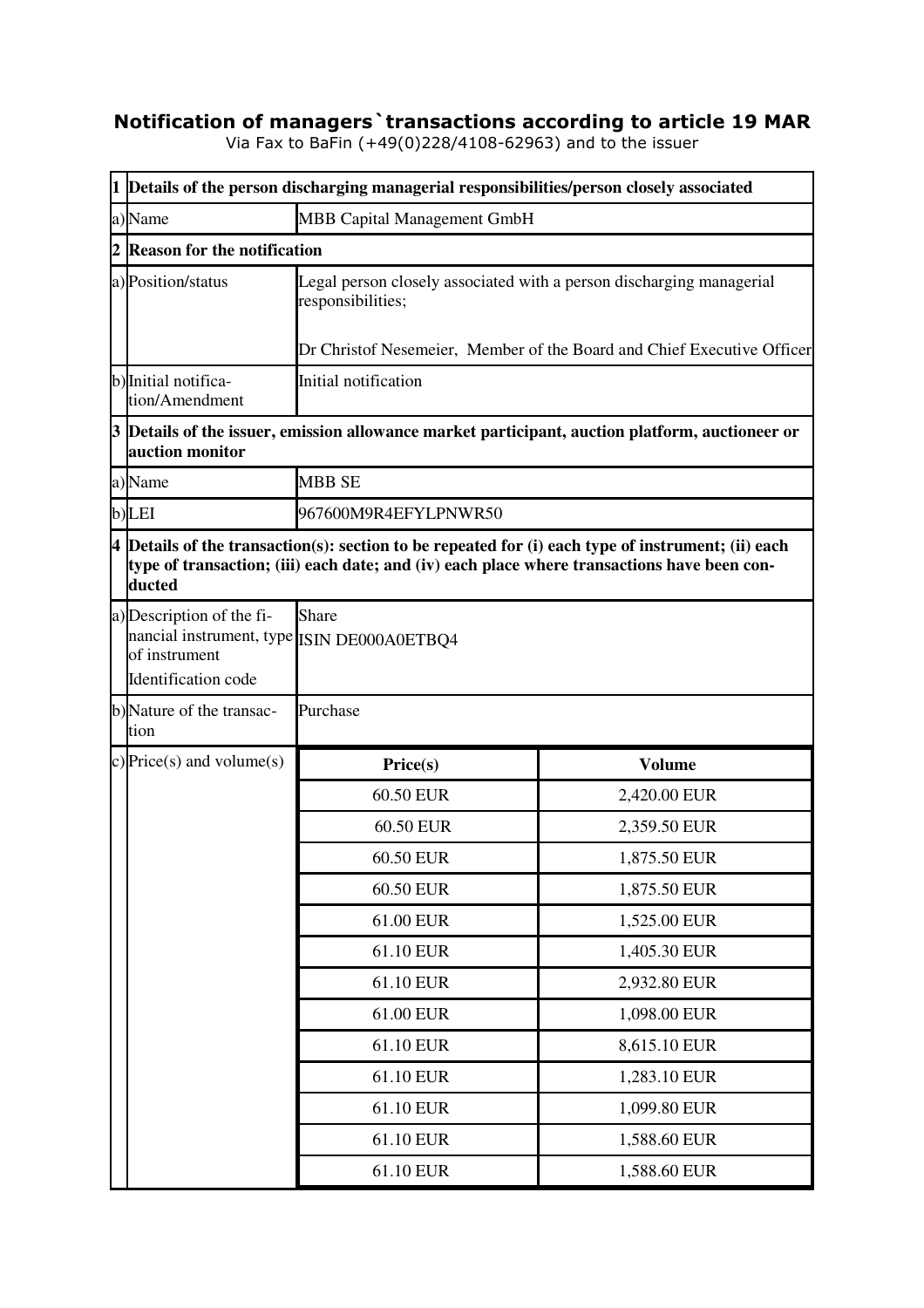## **Notification of managers`transactions according to article 19 MAR**

Via Fax to BaFin (+49(0)228/4108-62963) and to the issuer

|  | 1 Details of the person discharging managerial responsibilities/person closely associated                                                                                                                     |                                                                                                                                                                     |               |  |  |
|--|---------------------------------------------------------------------------------------------------------------------------------------------------------------------------------------------------------------|---------------------------------------------------------------------------------------------------------------------------------------------------------------------|---------------|--|--|
|  | a)Name                                                                                                                                                                                                        | MBB Capital Management GmbH                                                                                                                                         |               |  |  |
|  | <b>Reason for the notification</b>                                                                                                                                                                            |                                                                                                                                                                     |               |  |  |
|  | a) Position/status                                                                                                                                                                                            | Legal person closely associated with a person discharging managerial<br>responsibilities;<br>Dr Christof Nesemeier, Member of the Board and Chief Executive Officer |               |  |  |
|  | b) Initial notifica-                                                                                                                                                                                          | Initial notification                                                                                                                                                |               |  |  |
|  | tion/Amendment                                                                                                                                                                                                |                                                                                                                                                                     |               |  |  |
|  | 3 Details of the issuer, emission allowance market participant, auction platform, auctioneer or<br>auction monitor                                                                                            |                                                                                                                                                                     |               |  |  |
|  | a)Name                                                                                                                                                                                                        | <b>MBB SE</b>                                                                                                                                                       |               |  |  |
|  | b)LEI                                                                                                                                                                                                         | 967600M9R4EFYLPNWR50                                                                                                                                                |               |  |  |
|  | $4$ Details of the transaction(s): section to be repeated for (i) each type of instrument; (ii) each<br>type of transaction; (iii) each date; and (iv) each place where transactions have been con-<br>ducted |                                                                                                                                                                     |               |  |  |
|  | a) Description of the fi-<br>nancial instrument, type ISIN DE000A0ETBQ4<br>of instrument<br>Identification code                                                                                               | Share                                                                                                                                                               |               |  |  |
|  | b)Nature of the transac-<br>tion                                                                                                                                                                              | Purchase                                                                                                                                                            |               |  |  |
|  | c) Price(s) and volume(s)                                                                                                                                                                                     | Price(s)                                                                                                                                                            | <b>Volume</b> |  |  |
|  |                                                                                                                                                                                                               | 60.50 EUR                                                                                                                                                           | 2,420.00 EUR  |  |  |
|  |                                                                                                                                                                                                               | 60.50 EUR                                                                                                                                                           | 2,359.50 EUR  |  |  |
|  |                                                                                                                                                                                                               | 60.50 EUR                                                                                                                                                           | 1,875.50 EUR  |  |  |
|  |                                                                                                                                                                                                               | 60.50 EUR                                                                                                                                                           | 1,875.50 EUR  |  |  |
|  |                                                                                                                                                                                                               | 61.00 EUR                                                                                                                                                           | 1,525.00 EUR  |  |  |
|  |                                                                                                                                                                                                               | 61.10 EUR                                                                                                                                                           | 1,405.30 EUR  |  |  |
|  |                                                                                                                                                                                                               | 61.10 EUR                                                                                                                                                           | 2,932.80 EUR  |  |  |
|  |                                                                                                                                                                                                               | 61.00 EUR                                                                                                                                                           | 1,098.00 EUR  |  |  |
|  |                                                                                                                                                                                                               | 61.10 EUR                                                                                                                                                           | 8,615.10 EUR  |  |  |
|  |                                                                                                                                                                                                               | 61.10 EUR                                                                                                                                                           | 1,283.10 EUR  |  |  |
|  |                                                                                                                                                                                                               | 61.10 EUR                                                                                                                                                           | 1,099.80 EUR  |  |  |
|  |                                                                                                                                                                                                               | 61.10 EUR                                                                                                                                                           | 1,588.60 EUR  |  |  |
|  |                                                                                                                                                                                                               | 61.10 EUR                                                                                                                                                           | 1,588.60 EUR  |  |  |